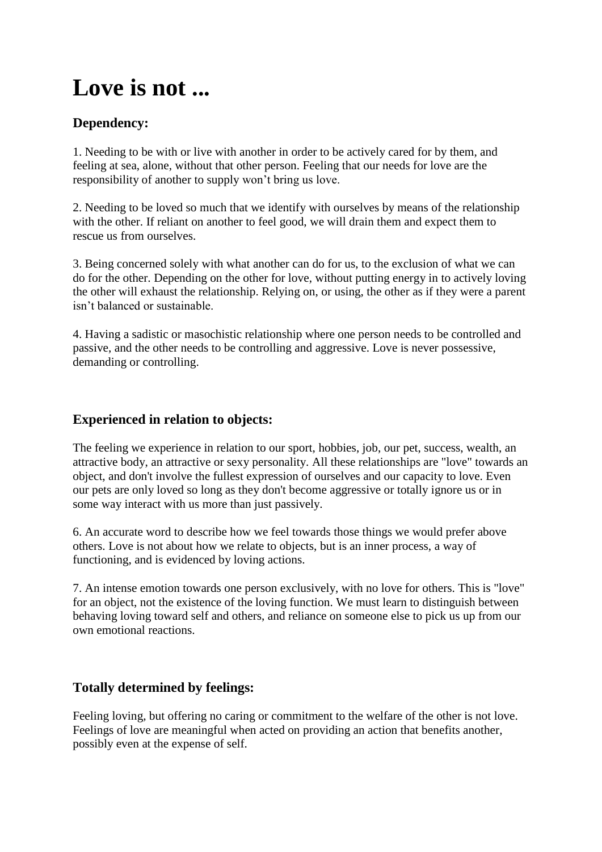# **Love is not ...**

# **Dependency:**

1. Needing to be with or live with another in order to be actively cared for by them, and feeling at sea, alone, without that other person. Feeling that our needs for love are the responsibility of another to supply won't bring us love.

2. Needing to be loved so much that we identify with ourselves by means of the relationship with the other. If reliant on another to feel good, we will drain them and expect them to rescue us from ourselves.

3. Being concerned solely with what another can do for us, to the exclusion of what we can do for the other. Depending on the other for love, without putting energy in to actively loving the other will exhaust the relationship. Relying on, or using, the other as if they were a parent isn't balanced or sustainable.

4. Having a sadistic or masochistic relationship where one person needs to be controlled and passive, and the other needs to be controlling and aggressive. Love is never possessive, demanding or controlling.

## **Experienced in relation to objects:**

The feeling we experience in relation to our sport, hobbies, job, our pet, success, wealth, an attractive body, an attractive or sexy personality. All these relationships are "love" towards an object, and don't involve the fullest expression of ourselves and our capacity to love. Even our pets are only loved so long as they don't become aggressive or totally ignore us or in some way interact with us more than just passively.

6. An accurate word to describe how we feel towards those things we would prefer above others. Love is not about how we relate to objects, but is an inner process, a way of functioning, and is evidenced by loving actions.

7. An intense emotion towards one person exclusively, with no love for others. This is "love" for an object, not the existence of the loving function. We must learn to distinguish between behaving loving toward self and others, and reliance on someone else to pick us up from our own emotional reactions.

# **Totally determined by feelings:**

Feeling loving, but offering no caring or commitment to the welfare of the other is not love. Feelings of love are meaningful when acted on providing an action that benefits another, possibly even at the expense of self.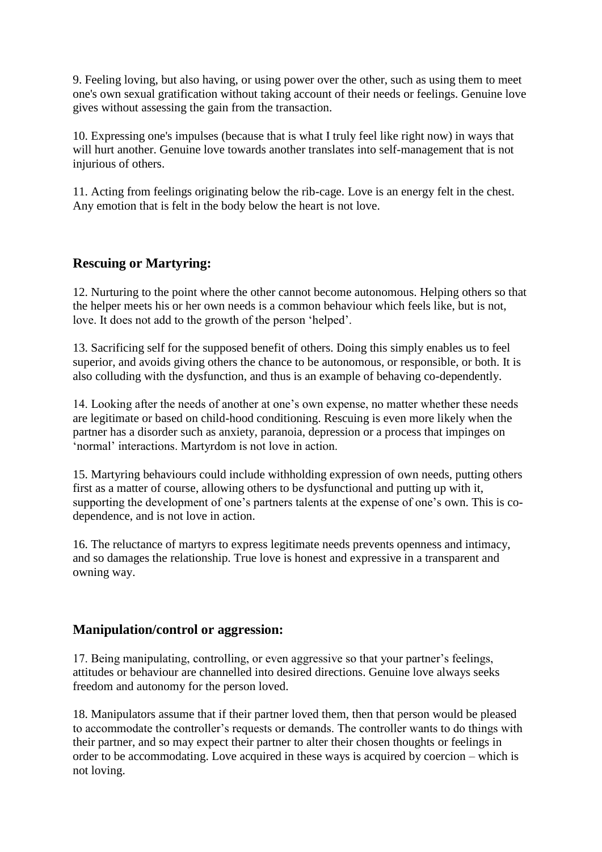9. Feeling loving, but also having, or using power over the other, such as using them to meet one's own sexual gratification without taking account of their needs or feelings. Genuine love gives without assessing the gain from the transaction.

10. Expressing one's impulses (because that is what I truly feel like right now) in ways that will hurt another. Genuine love towards another translates into self-management that is not injurious of others.

11. Acting from feelings originating below the rib-cage. Love is an energy felt in the chest. Any emotion that is felt in the body below the heart is not love.

## **Rescuing or Martyring:**

12. Nurturing to the point where the other cannot become autonomous. Helping others so that the helper meets his or her own needs is a common behaviour which feels like, but is not, love. It does not add to the growth of the person 'helped'.

13. Sacrificing self for the supposed benefit of others. Doing this simply enables us to feel superior, and avoids giving others the chance to be autonomous, or responsible, or both. It is also colluding with the dysfunction, and thus is an example of behaving co-dependently.

14. Looking after the needs of another at one's own expense, no matter whether these needs are legitimate or based on child-hood conditioning. Rescuing is even more likely when the partner has a disorder such as anxiety, paranoia, depression or a process that impinges on 'normal' interactions. Martyrdom is not love in action.

15. Martyring behaviours could include withholding expression of own needs, putting others first as a matter of course, allowing others to be dysfunctional and putting up with it, supporting the development of one's partners talents at the expense of one's own. This is codependence, and is not love in action.

16. The reluctance of martyrs to express legitimate needs prevents openness and intimacy, and so damages the relationship. True love is honest and expressive in a transparent and owning way.

#### **Manipulation/control or aggression:**

17. Being manipulating, controlling, or even aggressive so that your partner's feelings, attitudes or behaviour are channelled into desired directions. Genuine love always seeks freedom and autonomy for the person loved.

18. Manipulators assume that if their partner loved them, then that person would be pleased to accommodate the controller's requests or demands. The controller wants to do things with their partner, and so may expect their partner to alter their chosen thoughts or feelings in order to be accommodating. Love acquired in these ways is acquired by coercion – which is not loving.